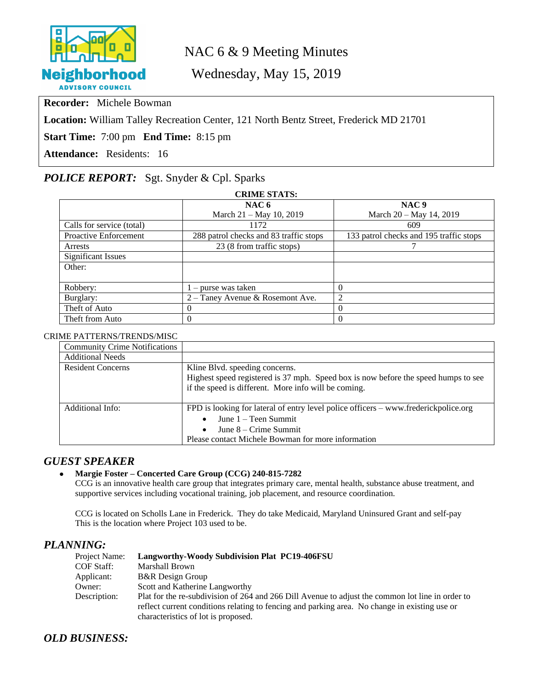

## NAC 6 & 9 Meeting Minutes

Wednesday, May 15, 2019

**Recorder:** Michele Bowman

**Location:** William Talley Recreation Center, 121 North Bentz Street, Frederick MD 21701

**Start Time:** 7:00 pm **End Time:** 8:15 pm

**Attendance:** Residents: 16

## *POLICE REPORT:* Sgt. Snyder & Cpl. Sparks

| <b>CRIME STATS:</b>          |                                        |                                         |  |  |
|------------------------------|----------------------------------------|-----------------------------------------|--|--|
|                              | NAC $6$                                | NAC <sub>9</sub>                        |  |  |
|                              | March 21 - May 10, 2019                | March 20 – May 14, 2019                 |  |  |
| Calls for service (total)    | 1172                                   | 609                                     |  |  |
| <b>Proactive Enforcement</b> | 288 patrol checks and 83 traffic stops | 133 patrol checks and 195 traffic stops |  |  |
| Arrests                      | 23 (8 from traffic stops)              |                                         |  |  |
| <b>Significant Issues</b>    |                                        |                                         |  |  |
| Other:                       |                                        |                                         |  |  |
|                              |                                        |                                         |  |  |
| Robbery:                     | $1$ – purse was taken                  | $\Omega$                                |  |  |
| Burglary:                    | 2 – Taney Avenue & Rosemont Ave.       | 2                                       |  |  |
| Theft of Auto                | $\Omega$                               | $\Omega$                                |  |  |
| Theft from Auto              | $\theta$                               | $\Omega$                                |  |  |

#### CRIME PATTERNS/TRENDS/MISC

| <b>Community Crime Notifications</b> |                                                                                     |  |  |
|--------------------------------------|-------------------------------------------------------------------------------------|--|--|
| <b>Additional Needs</b>              |                                                                                     |  |  |
| <b>Resident Concerns</b>             | Kline Blvd. speeding concerns.                                                      |  |  |
|                                      | Highest speed registered is 37 mph. Speed box is now before the speed humps to see  |  |  |
|                                      | if the speed is different. More info will be coming.                                |  |  |
|                                      |                                                                                     |  |  |
| Additional Info:                     | FPD is looking for lateral of entry level police officers – www.frederickpolice.org |  |  |
|                                      | June 1 – Teen Summit                                                                |  |  |
|                                      | June $8 -$ Crime Summit                                                             |  |  |
|                                      | Please contact Michele Bowman for more information                                  |  |  |

### *GUEST SPEAKER*

#### **Margie Foster – Concerted Care Group (CCG) 240-815-7282**

CCG is an innovative health care group that integrates primary care, mental health, substance abuse treatment, and supportive services including vocational training, job placement, and resource coordination.

CCG is located on Scholls Lane in Frederick. They do take Medicaid, Maryland Uninsured Grant and self-pay This is the location where Project 103 used to be.

#### *PLANNING:*

| Project Name:     | <b>Langworthy-Woody Subdivision Plat PC19-406FSU</b>                                                                                                                                              |
|-------------------|---------------------------------------------------------------------------------------------------------------------------------------------------------------------------------------------------|
| <b>COF Staff:</b> | Marshall Brown                                                                                                                                                                                    |
| Applicant:        | <b>B&amp;R</b> Design Group                                                                                                                                                                       |
| Owner:            | Scott and Katherine Langworthy                                                                                                                                                                    |
| Description:      | Plat for the re-subdivision of 264 and 266 Dill Avenue to adjust the common lot line in order to<br>reflect current conditions relating to fencing and parking area. No change in existing use or |
|                   | characteristics of lot is proposed.                                                                                                                                                               |

## *OLD BUSINESS:*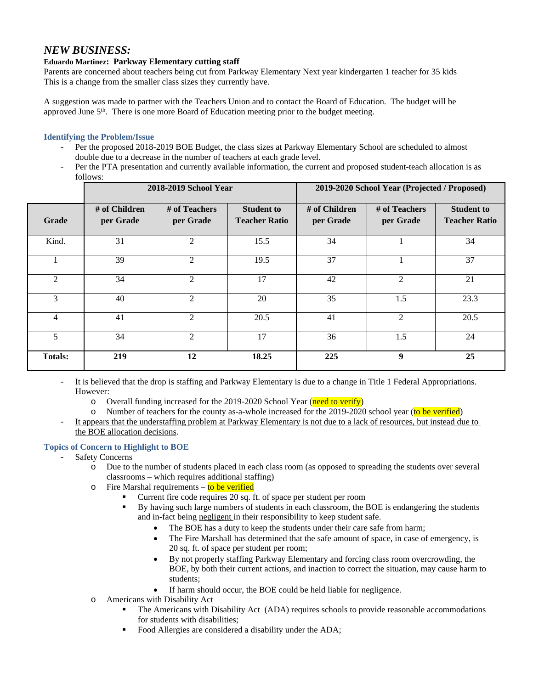## *NEW BUSINESS:*

#### **Eduardo Martinez: Parkway Elementary cutting staff**

Parents are concerned about teachers being cut from Parkway Elementary Next year kindergarten 1 teacher for 35 kids This is a change from the smaller class sizes they currently have.

A suggestion was made to partner with the Teachers Union and to contact the Board of Education. The budget will be approved June 5th. There is one more Board of Education meeting prior to the budget meeting.

#### **Identifying the Problem/Issue**

- Per the proposed 2018-2019 BOE Budget, the class sizes at Parkway Elementary School are scheduled to almost double due to a decrease in the number of teachers at each grade level.
- Per the PTA presentation and currently available information, the current and proposed student-teach allocation is as follows:

|                | 2018-2019 School Year      |                            |                                           | 2019-2020 School Year (Projected / Proposed) |                            |                                           |
|----------------|----------------------------|----------------------------|-------------------------------------------|----------------------------------------------|----------------------------|-------------------------------------------|
| Grade          | # of Children<br>per Grade | # of Teachers<br>per Grade | <b>Student to</b><br><b>Teacher Ratio</b> | # of Children<br>per Grade                   | # of Teachers<br>per Grade | <b>Student to</b><br><b>Teacher Ratio</b> |
| Kind.          | 31                         | 2                          | 15.5                                      | 34                                           |                            | 34                                        |
|                | 39                         | 2                          | 19.5                                      | 37                                           |                            | 37                                        |
| 2              | 34                         | $\mathfrak{D}$             | 17                                        | 42                                           | 2                          | 21                                        |
| 3              | 40                         | 2                          | 20                                        | 35                                           | 1.5                        | 23.3                                      |
| $\overline{4}$ | 41                         | 2                          | 20.5                                      | 41                                           | 2                          | 20.5                                      |
| 5              | 34                         | 2                          | 17                                        | 36                                           | 1.5                        | 24                                        |
| <b>Totals:</b> | 219                        | 12                         | 18.25                                     | 225                                          | 9                          | 25                                        |

- It is believed that the drop is staffing and Parkway Elementary is due to a change in Title 1 Federal Appropriations. However:
	- o Overall funding increased for the 2019-2020 School Year (need to verify)
	- o Number of teachers for the county as-a-whole increased for the 2019-2020 school year (to be verified)
- It appears that the understaffing problem at Parkway Elementary is not due to a lack of resources, but instead due to the BOE allocation decisions.

#### **Topics of Concern to Highlight to BOE**

- Safety Concerns
	- o Due to the number of students placed in each class room (as opposed to spreading the students over several classrooms – which requires additional staffing)
	- $\circ$  Fire Marshal requirements to be verified
		- Current fire code requires 20 sq. ft. of space per student per room
			- By having such large numbers of students in each classroom, the BOE is endangering the students and in-fact being negligent in their responsibility to keep student safe.
				- The BOE has a duty to keep the students under their care safe from harm;
				- The Fire Marshall has determined that the safe amount of space, in case of emergency, is 20 sq. ft. of space per student per room;
				- By not properly staffing Parkway Elementary and forcing class room overcrowding, the BOE, by both their current actions, and inaction to correct the situation, may cause harm to students;
				- If harm should occur, the BOE could be held liable for negligence.
	- o Americans with Disability Act
		- The Americans with Disability Act (ADA) requires schools to provide reasonable accommodations for students with disabilities;
		- Food Allergies are considered a disability under the ADA;